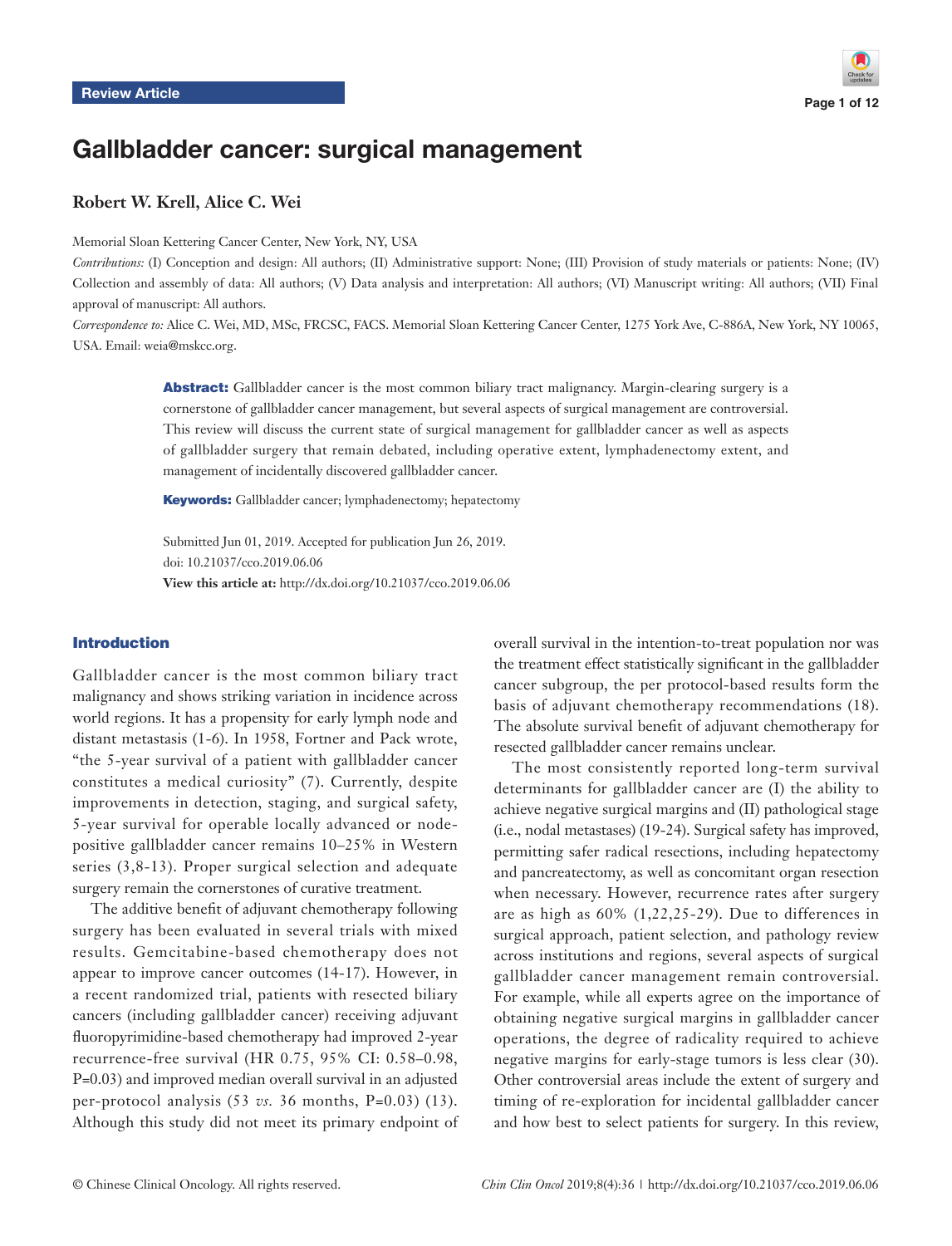# Gallbladder cancer: surgical management

# **Robert W. Krell, Alice C. Wei**

Memorial Sloan Kettering Cancer Center, New York, NY, USA

*Contributions:* (I) Conception and design: All authors; (II) Administrative support: None; (III) Provision of study materials or patients: None; (IV) Collection and assembly of data: All authors; (V) Data analysis and interpretation: All authors; (VI) Manuscript writing: All authors; (VII) Final approval of manuscript: All authors.

*Correspondence to:* Alice C. Wei, MD, MSc, FRCSC, FACS. Memorial Sloan Kettering Cancer Center, 1275 York Ave, C-886A, New York, NY 10065, USA. Email: weia@mskcc.org.

> Abstract: Gallbladder cancer is the most common biliary tract malignancy. Margin-clearing surgery is a cornerstone of gallbladder cancer management, but several aspects of surgical management are controversial. This review will discuss the current state of surgical management for gallbladder cancer as well as aspects of gallbladder surgery that remain debated, including operative extent, lymphadenectomy extent, and management of incidentally discovered gallbladder cancer.

Keywords: Gallbladder cancer; lymphadenectomy; hepatectomy

Submitted Jun 01, 2019. Accepted for publication Jun 26, 2019. doi: 10.21037/cco.2019.06.06

**View this article at:** http://dx.doi.org/10.21037/cco.2019.06.06

#### Introduction

Gallbladder cancer is the most common biliary tract malignancy and shows striking variation in incidence across world regions. It has a propensity for early lymph node and distant metastasis (1-6). In 1958, Fortner and Pack wrote, "the 5-year survival of a patient with gallbladder cancer constitutes a medical curiosity" (7). Currently, despite improvements in detection, staging, and surgical safety, 5-year survival for operable locally advanced or nodepositive gallbladder cancer remains 10–25% in Western series (3,8-13). Proper surgical selection and adequate surgery remain the cornerstones of curative treatment.

The additive benefit of adjuvant chemotherapy following surgery has been evaluated in several trials with mixed results. Gemcitabine-based chemotherapy does not appear to improve cancer outcomes (14-17). However, in a recent randomized trial, patients with resected biliary cancers (including gallbladder cancer) receiving adjuvant fluoropyrimidine-based chemotherapy had improved 2-year recurrence-free survival (HR 0.75, 95% CI: 0.58–0.98, P=0.03) and improved median overall survival in an adjusted per-protocol analysis (53 *vs.* 36 months, P=0.03) (13). Although this study did not meet its primary endpoint of overall survival in the intention-to-treat population nor was the treatment effect statistically significant in the gallbladder cancer subgroup, the per protocol-based results form the basis of adjuvant chemotherapy recommendations (18). The absolute survival benefit of adjuvant chemotherapy for resected gallbladder cancer remains unclear.

The most consistently reported long-term survival determinants for gallbladder cancer are (I) the ability to achieve negative surgical margins and (II) pathological stage (i.e., nodal metastases) (19-24). Surgical safety has improved, permitting safer radical resections, including hepatectomy and pancreatectomy, as well as concomitant organ resection when necessary. However, recurrence rates after surgery are as high as 60% (1,22,25-29). Due to differences in surgical approach, patient selection, and pathology review across institutions and regions, several aspects of surgical gallbladder cancer management remain controversial. For example, while all experts agree on the importance of obtaining negative surgical margins in gallbladder cancer operations, the degree of radicality required to achieve negative margins for early-stage tumors is less clear (30). Other controversial areas include the extent of surgery and timing of re-exploration for incidental gallbladder cancer and how best to select patients for surgery. In this review,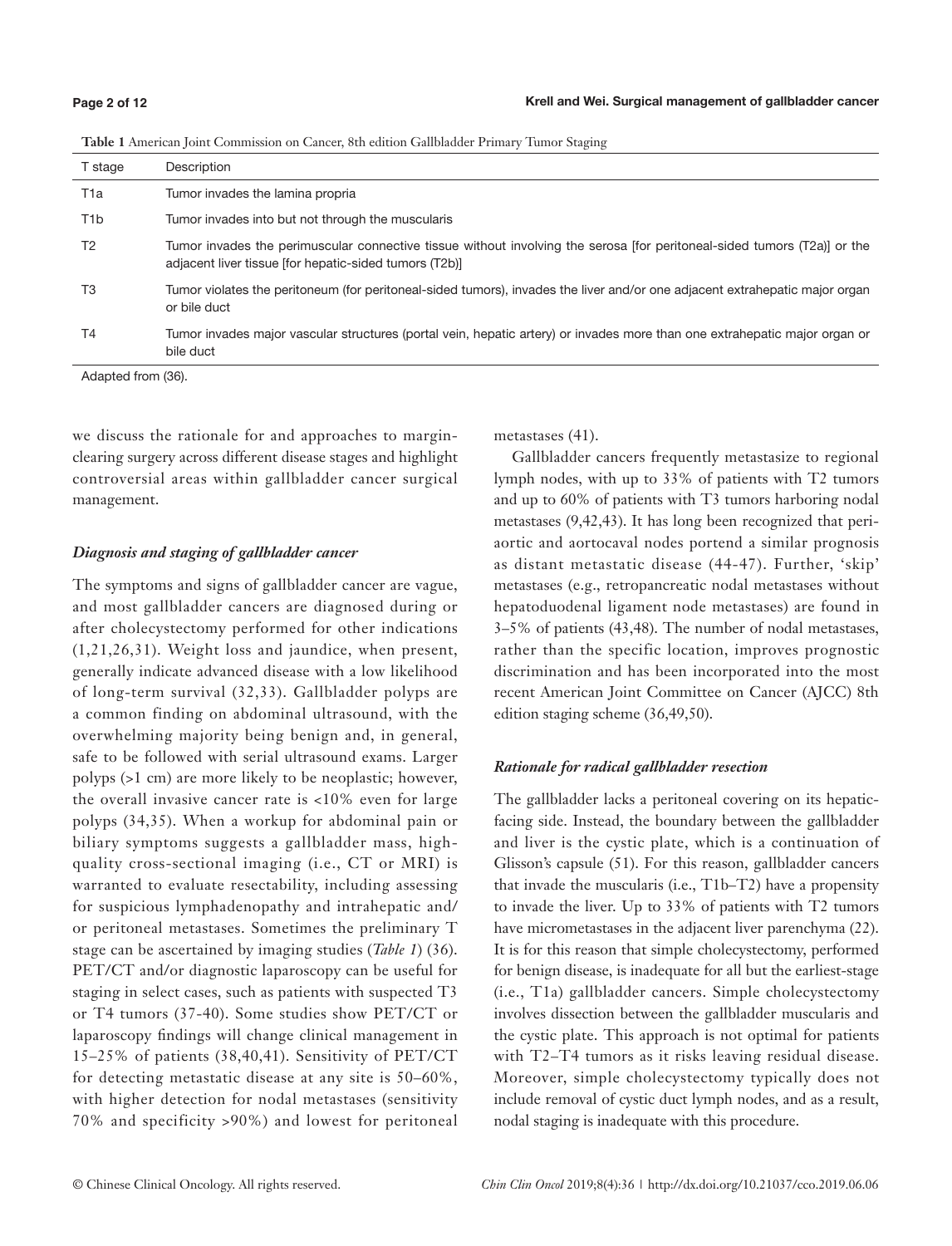| T stage          | Description                                                                                                                                                                        |
|------------------|------------------------------------------------------------------------------------------------------------------------------------------------------------------------------------|
| T1a              | Tumor invades the lamina propria                                                                                                                                                   |
| T <sub>1</sub> b | Tumor invades into but not through the muscularis                                                                                                                                  |
| T <sub>2</sub>   | Tumor invades the perimuscular connective tissue without involving the serosa [for peritoneal-sided tumors (T2a)] or the<br>adjacent liver tissue [for hepatic-sided tumors (T2b)] |
| T3               | Tumor violates the peritoneum (for peritoneal-sided tumors), invades the liver and/or one adjacent extrahepatic major organ<br>or bile duct                                        |
| T4               | Tumor invades major vascular structures (portal vein, hepatic artery) or invades more than one extrahepatic major organ or<br>bile duct                                            |

| Table 1 American Joint Commission on Cancer, 8th edition Gallbladder Primary Tumor Staging |  |
|--------------------------------------------------------------------------------------------|--|
|--------------------------------------------------------------------------------------------|--|

Adapted from (36).

we discuss the rationale for and approaches to marginclearing surgery across different disease stages and highlight controversial areas within gallbladder cancer surgical management.

### *Diagnosis and staging of gallbladder cancer*

The symptoms and signs of gallbladder cancer are vague, and most gallbladder cancers are diagnosed during or after cholecystectomy performed for other indications (1,21,26,31). Weight loss and jaundice, when present, generally indicate advanced disease with a low likelihood of long-term survival (32,33). Gallbladder polyps are a common finding on abdominal ultrasound, with the overwhelming majority being benign and, in general, safe to be followed with serial ultrasound exams. Larger polyps (>1 cm) are more likely to be neoplastic; however, the overall invasive cancer rate is <10% even for large polyps (34,35). When a workup for abdominal pain or biliary symptoms suggests a gallbladder mass, highquality cross-sectional imaging (i.e., CT or MRI) is warranted to evaluate resectability, including assessing for suspicious lymphadenopathy and intrahepatic and/ or peritoneal metastases. Sometimes the preliminary T stage can be ascertained by imaging studies (*Table 1*) (36). PET/CT and/or diagnostic laparoscopy can be useful for staging in select cases, such as patients with suspected T3 or T4 tumors (37-40). Some studies show PET/CT or laparoscopy findings will change clinical management in 15–25% of patients (38,40,41). Sensitivity of PET/CT for detecting metastatic disease at any site is 50–60%, with higher detection for nodal metastases (sensitivity 70% and specificity >90%) and lowest for peritoneal

metastases (41).

Gallbladder cancers frequently metastasize to regional lymph nodes, with up to 33% of patients with T2 tumors and up to 60% of patients with T3 tumors harboring nodal metastases (9,42,43). It has long been recognized that periaortic and aortocaval nodes portend a similar prognosis as distant metastatic disease (44-47). Further, 'skip' metastases (e.g., retropancreatic nodal metastases without hepatoduodenal ligament node metastases) are found in 3–5% of patients (43,48). The number of nodal metastases, rather than the specific location, improves prognostic discrimination and has been incorporated into the most recent American Joint Committee on Cancer (AJCC) 8th edition staging scheme (36,49,50).

### *Rationale for radical gallbladder resection*

The gallbladder lacks a peritoneal covering on its hepaticfacing side. Instead, the boundary between the gallbladder and liver is the cystic plate, which is a continuation of Glisson's capsule (51). For this reason, gallbladder cancers that invade the muscularis (i.e., T1b–T2) have a propensity to invade the liver. Up to 33% of patients with T2 tumors have micrometastases in the adjacent liver parenchyma (22). It is for this reason that simple cholecystectomy, performed for benign disease, is inadequate for all but the earliest-stage (i.e., T1a) gallbladder cancers. Simple cholecystectomy involves dissection between the gallbladder muscularis and the cystic plate. This approach is not optimal for patients with T2–T4 tumors as it risks leaving residual disease. Moreover, simple cholecystectomy typically does not include removal of cystic duct lymph nodes, and as a result, nodal staging is inadequate with this procedure.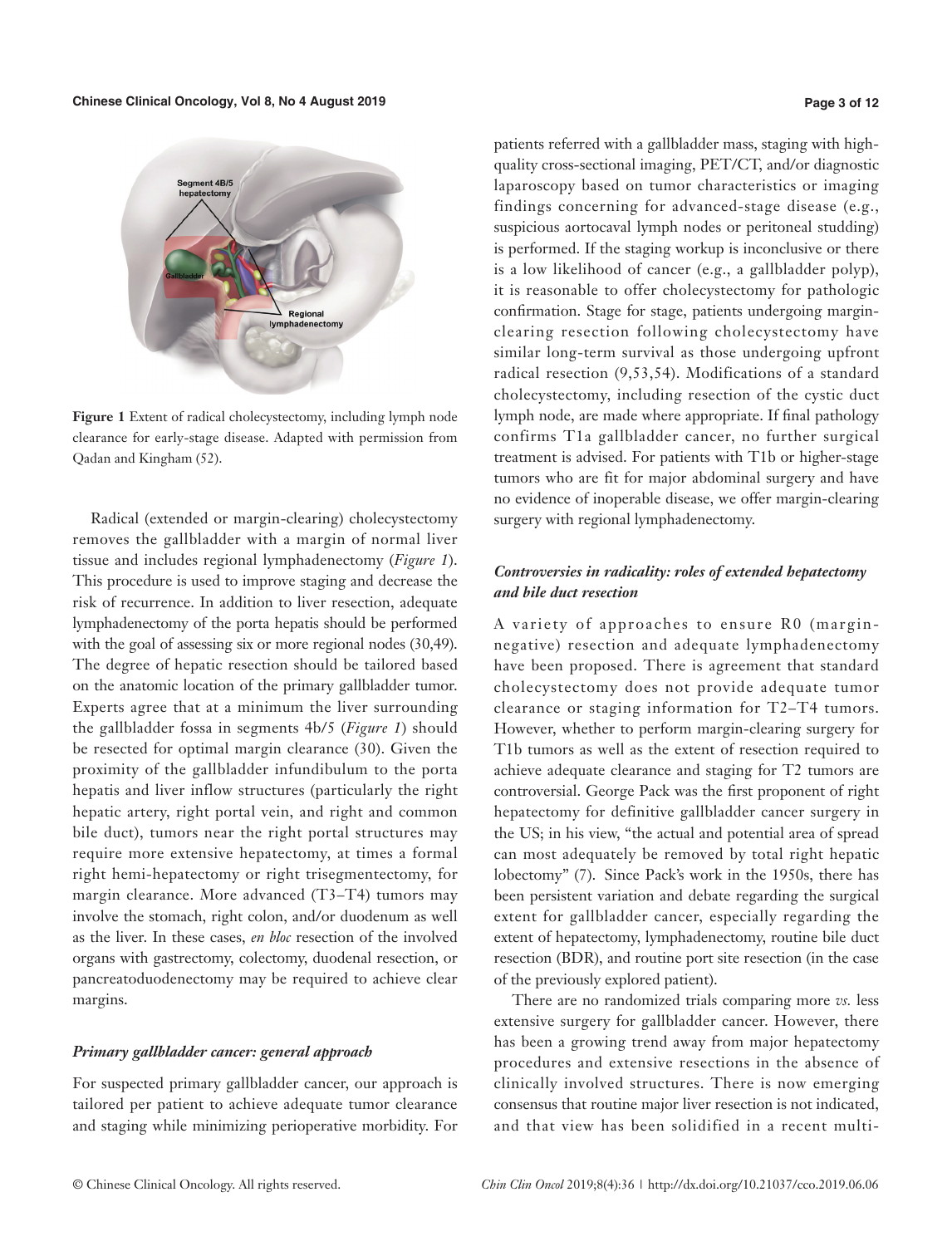

**Figure 1** Extent of radical cholecystectomy, including lymph node clearance for early-stage disease. Adapted with permission from Qadan and Kingham (52).

Radical (extended or margin-clearing) cholecystectomy removes the gallbladder with a margin of normal liver tissue and includes regional lymphadenectomy (*Figure 1*). This procedure is used to improve staging and decrease the risk of recurrence. In addition to liver resection, adequate lymphadenectomy of the porta hepatis should be performed with the goal of assessing six or more regional nodes (30,49). The degree of hepatic resection should be tailored based on the anatomic location of the primary gallbladder tumor. Experts agree that at a minimum the liver surrounding the gallbladder fossa in segments 4b/5 (*Figure 1*) should be resected for optimal margin clearance (30). Given the proximity of the gallbladder infundibulum to the porta hepatis and liver inflow structures (particularly the right hepatic artery, right portal vein, and right and common bile duct), tumors near the right portal structures may require more extensive hepatectomy, at times a formal right hemi-hepatectomy or right trisegmentectomy, for margin clearance. More advanced (T3–T4) tumors may involve the stomach, right colon, and/or duodenum as well as the liver. In these cases, *en bloc* resection of the involved organs with gastrectomy, colectomy, duodenal resection, or pancreatoduodenectomy may be required to achieve clear margins.

### *Primary gallbladder cancer: general approach*

For suspected primary gallbladder cancer, our approach is tailored per patient to achieve adequate tumor clearance and staging while minimizing perioperative morbidity. For

patients referred with a gallbladder mass, staging with highquality cross-sectional imaging, PET/CT, and/or diagnostic laparoscopy based on tumor characteristics or imaging findings concerning for advanced-stage disease (e.g., suspicious aortocaval lymph nodes or peritoneal studding) is performed. If the staging workup is inconclusive or there is a low likelihood of cancer (e.g., a gallbladder polyp), it is reasonable to offer cholecystectomy for pathologic confirmation. Stage for stage, patients undergoing marginclearing resection following cholecystectomy have similar long-term survival as those undergoing upfront radical resection (9,53,54). Modifications of a standard cholecystectomy, including resection of the cystic duct lymph node, are made where appropriate. If final pathology confirms T1a gallbladder cancer, no further surgical treatment is advised. For patients with T1b or higher-stage tumors who are fit for major abdominal surgery and have no evidence of inoperable disease, we offer margin-clearing surgery with regional lymphadenectomy.

# *Controversies in radicality: roles of extended hepatectomy and bile duct resection*

A variety of approaches to ensure R0 (marginnegative) resection and adequate lymphadenectomy have been proposed. There is agreement that standard cholecystectomy does not provide adequate tumor clearance or staging information for T2–T4 tumors. However, whether to perform margin-clearing surgery for T1b tumors as well as the extent of resection required to achieve adequate clearance and staging for T2 tumors are controversial. George Pack was the first proponent of right hepatectomy for definitive gallbladder cancer surgery in the US; in his view, "the actual and potential area of spread can most adequately be removed by total right hepatic lobectomy" (7). Since Pack's work in the 1950s, there has been persistent variation and debate regarding the surgical extent for gallbladder cancer, especially regarding the extent of hepatectomy, lymphadenectomy, routine bile duct resection (BDR), and routine port site resection (in the case of the previously explored patient).

There are no randomized trials comparing more *vs.* less extensive surgery for gallbladder cancer. However, there has been a growing trend away from major hepatectomy procedures and extensive resections in the absence of clinically involved structures. There is now emerging consensus that routine major liver resection is not indicated, and that view has been solidified in a recent multi-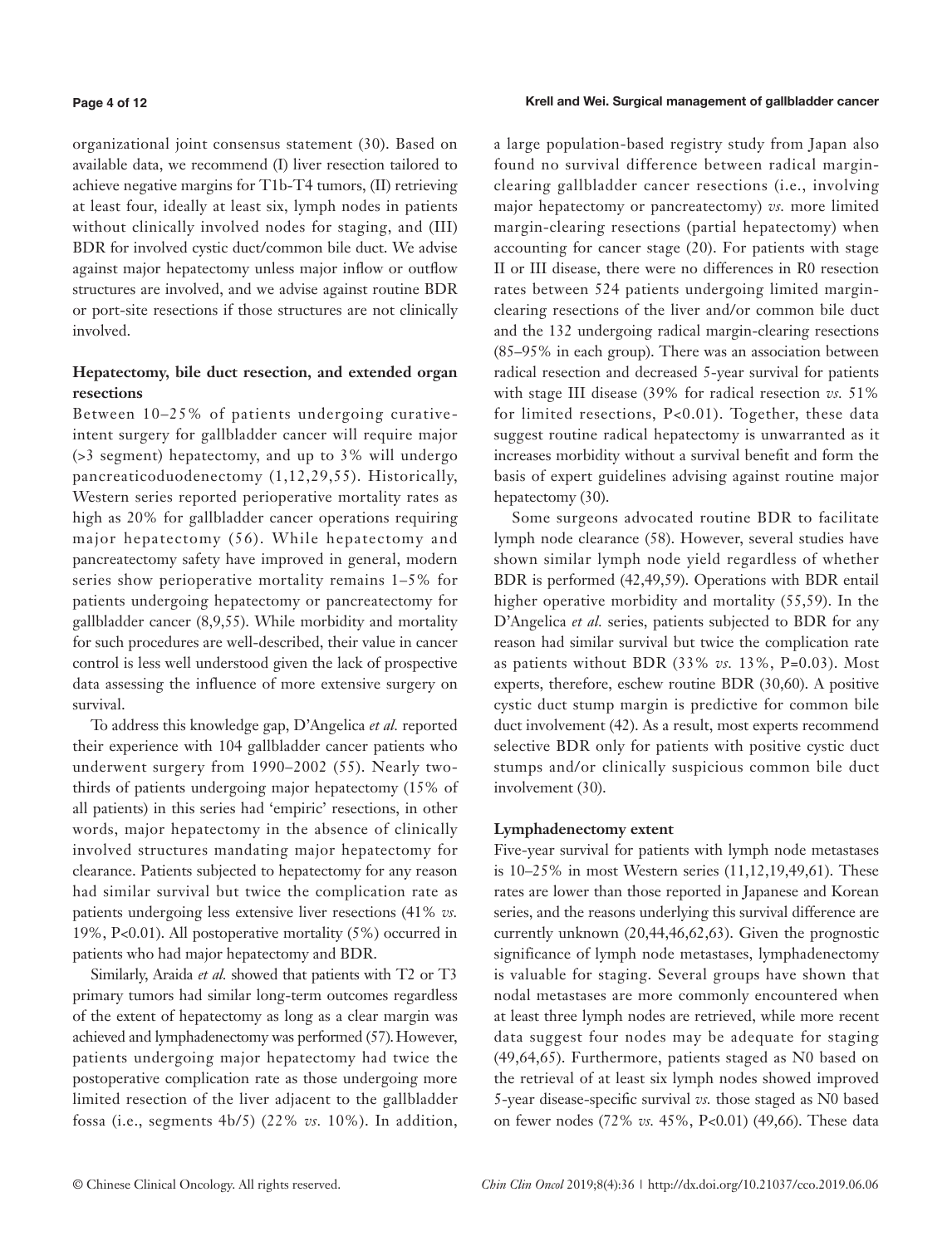#### **Page 4 of 12**

organizational joint consensus statement (30). Based on available data, we recommend (I) liver resection tailored to achieve negative margins for T1b-T4 tumors, (II) retrieving at least four, ideally at least six, lymph nodes in patients without clinically involved nodes for staging, and (III) BDR for involved cystic duct/common bile duct. We advise against major hepatectomy unless major inflow or outflow structures are involved, and we advise against routine BDR or port-site resections if those structures are not clinically involved.

# **Hepatectomy, bile duct resection, and extended organ resections**

Between 10–25% of patients undergoing curativeintent surgery for gallbladder cancer will require major (>3 segment) hepatectomy, and up to 3% will undergo pancreaticoduodenectomy (1,12,29,55). Historically, Western series reported perioperative mortality rates as high as 20% for gallbladder cancer operations requiring major hepatectomy (56). While hepatectomy and pancreatectomy safety have improved in general, modern series show perioperative mortality remains 1–5% for patients undergoing hepatectomy or pancreatectomy for gallbladder cancer (8,9,55). While morbidity and mortality for such procedures are well-described, their value in cancer control is less well understood given the lack of prospective data assessing the influence of more extensive surgery on survival.

To address this knowledge gap, D'Angelica *et al.* reported their experience with 104 gallbladder cancer patients who underwent surgery from 1990–2002 (55). Nearly twothirds of patients undergoing major hepatectomy (15% of all patients) in this series had 'empiric' resections, in other words, major hepatectomy in the absence of clinically involved structures mandating major hepatectomy for clearance. Patients subjected to hepatectomy for any reason had similar survival but twice the complication rate as patients undergoing less extensive liver resections (41% *vs.* 19%, P<0.01). All postoperative mortality (5%) occurred in patients who had major hepatectomy and BDR.

Similarly, Araida *et al.* showed that patients with T2 or T3 primary tumors had similar long-term outcomes regardless of the extent of hepatectomy as long as a clear margin was achieved and lymphadenectomy was performed (57).However, patients undergoing major hepatectomy had twice the postoperative complication rate as those undergoing more limited resection of the liver adjacent to the gallbladder fossa (i.e., segments 4b/5) (22% *vs.* 10%). In addition, a large population-based registry study from Japan also found no survival difference between radical marginclearing gallbladder cancer resections (i.e., involving major hepatectomy or pancreatectomy) *vs.* more limited margin-clearing resections (partial hepatectomy) when accounting for cancer stage (20). For patients with stage II or III disease, there were no differences in R0 resection rates between 524 patients undergoing limited marginclearing resections of the liver and/or common bile duct and the 132 undergoing radical margin-clearing resections (85–95% in each group). There was an association between radical resection and decreased 5-year survival for patients with stage III disease (39% for radical resection *vs.* 51% for limited resections, P<0.01). Together, these data suggest routine radical hepatectomy is unwarranted as it increases morbidity without a survival benefit and form the basis of expert guidelines advising against routine major hepatectomy (30).

Some surgeons advocated routine BDR to facilitate lymph node clearance (58). However, several studies have shown similar lymph node yield regardless of whether BDR is performed (42,49,59). Operations with BDR entail higher operative morbidity and mortality (55,59). In the D'Angelica *et al.* series, patients subjected to BDR for any reason had similar survival but twice the complication rate as patients without BDR (33% *vs.* 13%, P=0.03). Most experts, therefore, eschew routine BDR (30,60). A positive cystic duct stump margin is predictive for common bile duct involvement (42). As a result, most experts recommend selective BDR only for patients with positive cystic duct stumps and/or clinically suspicious common bile duct involvement (30).

#### **Lymphadenectomy extent**

Five-year survival for patients with lymph node metastases is 10–25% in most Western series (11,12,19,49,61). These rates are lower than those reported in Japanese and Korean series, and the reasons underlying this survival difference are currently unknown (20,44,46,62,63). Given the prognostic significance of lymph node metastases, lymphadenectomy is valuable for staging. Several groups have shown that nodal metastases are more commonly encountered when at least three lymph nodes are retrieved, while more recent data suggest four nodes may be adequate for staging (49,64,65). Furthermore, patients staged as N0 based on the retrieval of at least six lymph nodes showed improved 5-year disease-specific survival *vs.* those staged as N0 based on fewer nodes (72% *vs.* 45%, P<0.01) (49,66). These data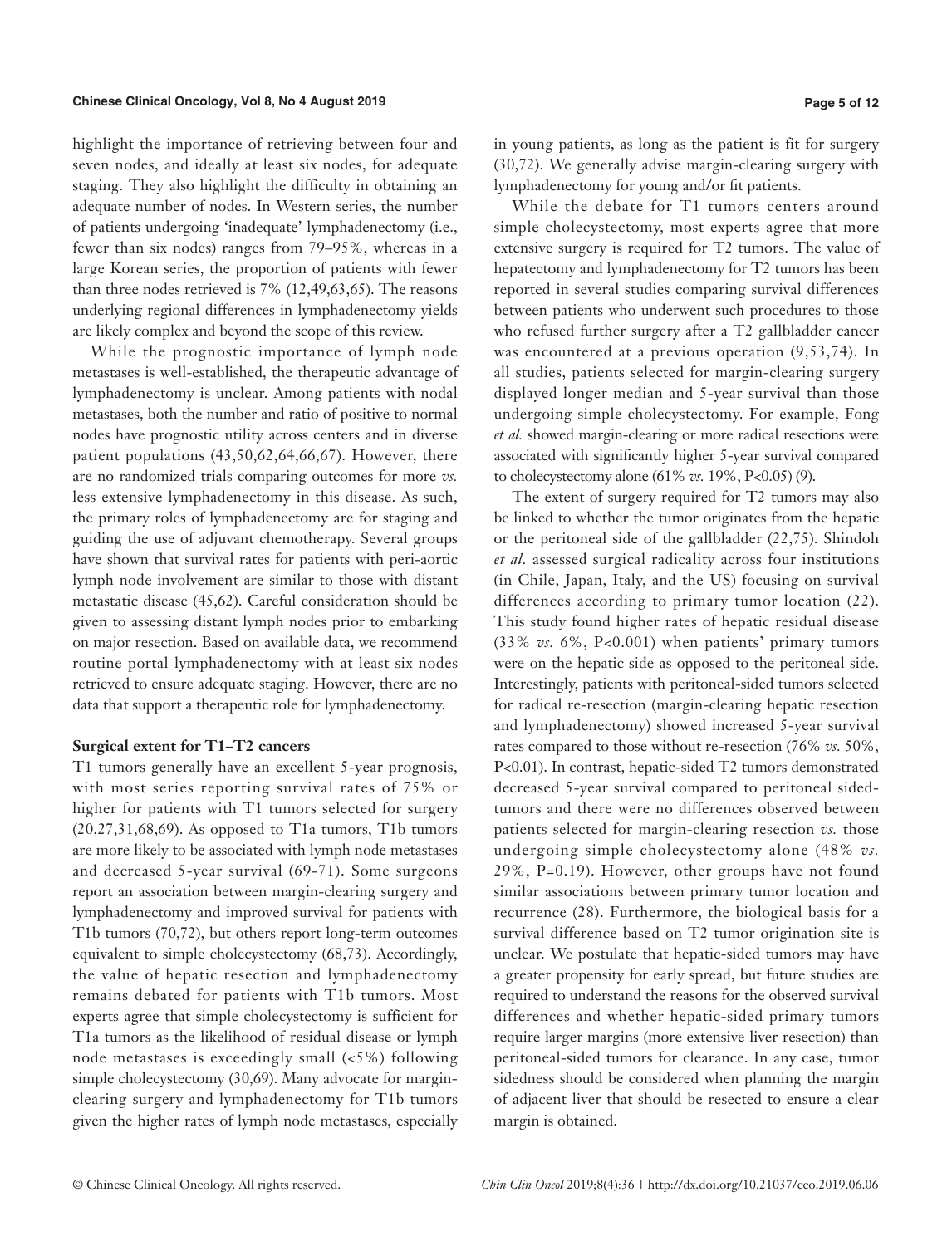highlight the importance of retrieving between four and seven nodes, and ideally at least six nodes, for adequate staging. They also highlight the difficulty in obtaining an adequate number of nodes. In Western series, the number of patients undergoing 'inadequate' lymphadenectomy (i.e., fewer than six nodes) ranges from 79–95%, whereas in a large Korean series, the proportion of patients with fewer than three nodes retrieved is 7% (12,49,63,65). The reasons underlying regional differences in lymphadenectomy yields are likely complex and beyond the scope of this review.

While the prognostic importance of lymph node metastases is well-established, the therapeutic advantage of lymphadenectomy is unclear. Among patients with nodal metastases, both the number and ratio of positive to normal nodes have prognostic utility across centers and in diverse patient populations (43,50,62,64,66,67). However, there are no randomized trials comparing outcomes for more *vs.* less extensive lymphadenectomy in this disease. As such, the primary roles of lymphadenectomy are for staging and guiding the use of adjuvant chemotherapy. Several groups have shown that survival rates for patients with peri-aortic lymph node involvement are similar to those with distant metastatic disease (45,62). Careful consideration should be given to assessing distant lymph nodes prior to embarking on major resection. Based on available data, we recommend routine portal lymphadenectomy with at least six nodes retrieved to ensure adequate staging. However, there are no data that support a therapeutic role for lymphadenectomy.

#### **Surgical extent for T1–T2 cancers**

T1 tumors generally have an excellent 5-year prognosis, with most series reporting survival rates of 75% or higher for patients with T1 tumors selected for surgery (20,27,31,68,69). As opposed to T1a tumors, T1b tumors are more likely to be associated with lymph node metastases and decreased 5-year survival (69-71). Some surgeons report an association between margin-clearing surgery and lymphadenectomy and improved survival for patients with T1b tumors (70,72), but others report long-term outcomes equivalent to simple cholecystectomy (68,73). Accordingly, the value of hepatic resection and lymphadenectomy remains debated for patients with T1b tumors. Most experts agree that simple cholecystectomy is sufficient for T1a tumors as the likelihood of residual disease or lymph node metastases is exceedingly small (<5%) following simple cholecystectomy (30,69). Many advocate for marginclearing surgery and lymphadenectomy for T1b tumors given the higher rates of lymph node metastases, especially in young patients, as long as the patient is fit for surgery (30,72). We generally advise margin-clearing surgery with lymphadenectomy for young and/or fit patients.

While the debate for T1 tumors centers around simple cholecystectomy, most experts agree that more extensive surgery is required for T2 tumors. The value of hepatectomy and lymphadenectomy for T2 tumors has been reported in several studies comparing survival differences between patients who underwent such procedures to those who refused further surgery after a T2 gallbladder cancer was encountered at a previous operation (9,53,74). In all studies, patients selected for margin-clearing surgery displayed longer median and 5-year survival than those undergoing simple cholecystectomy. For example, Fong *et al.* showed margin-clearing or more radical resections were associated with significantly higher 5-year survival compared to cholecystectomy alone (61% *vs.* 19%, P<0.05) (9).

The extent of surgery required for T2 tumors may also be linked to whether the tumor originates from the hepatic or the peritoneal side of the gallbladder (22,75). Shindoh *et al.* assessed surgical radicality across four institutions (in Chile, Japan, Italy, and the US) focusing on survival differences according to primary tumor location (22). This study found higher rates of hepatic residual disease (33% *vs.* 6%, P<0.001) when patients' primary tumors were on the hepatic side as opposed to the peritoneal side. Interestingly, patients with peritoneal-sided tumors selected for radical re-resection (margin-clearing hepatic resection and lymphadenectomy) showed increased 5-year survival rates compared to those without re-resection (76% *vs.* 50%, P<0.01). In contrast, hepatic-sided T2 tumors demonstrated decreased 5-year survival compared to peritoneal sidedtumors and there were no differences observed between patients selected for margin-clearing resection *vs.* those undergoing simple cholecystectomy alone (48% *vs.* 29%, P=0.19). However, other groups have not found similar associations between primary tumor location and recurrence (28). Furthermore, the biological basis for a survival difference based on T2 tumor origination site is unclear. We postulate that hepatic-sided tumors may have a greater propensity for early spread, but future studies are required to understand the reasons for the observed survival differences and whether hepatic-sided primary tumors require larger margins (more extensive liver resection) than peritoneal-sided tumors for clearance. In any case, tumor sidedness should be considered when planning the margin of adjacent liver that should be resected to ensure a clear margin is obtained.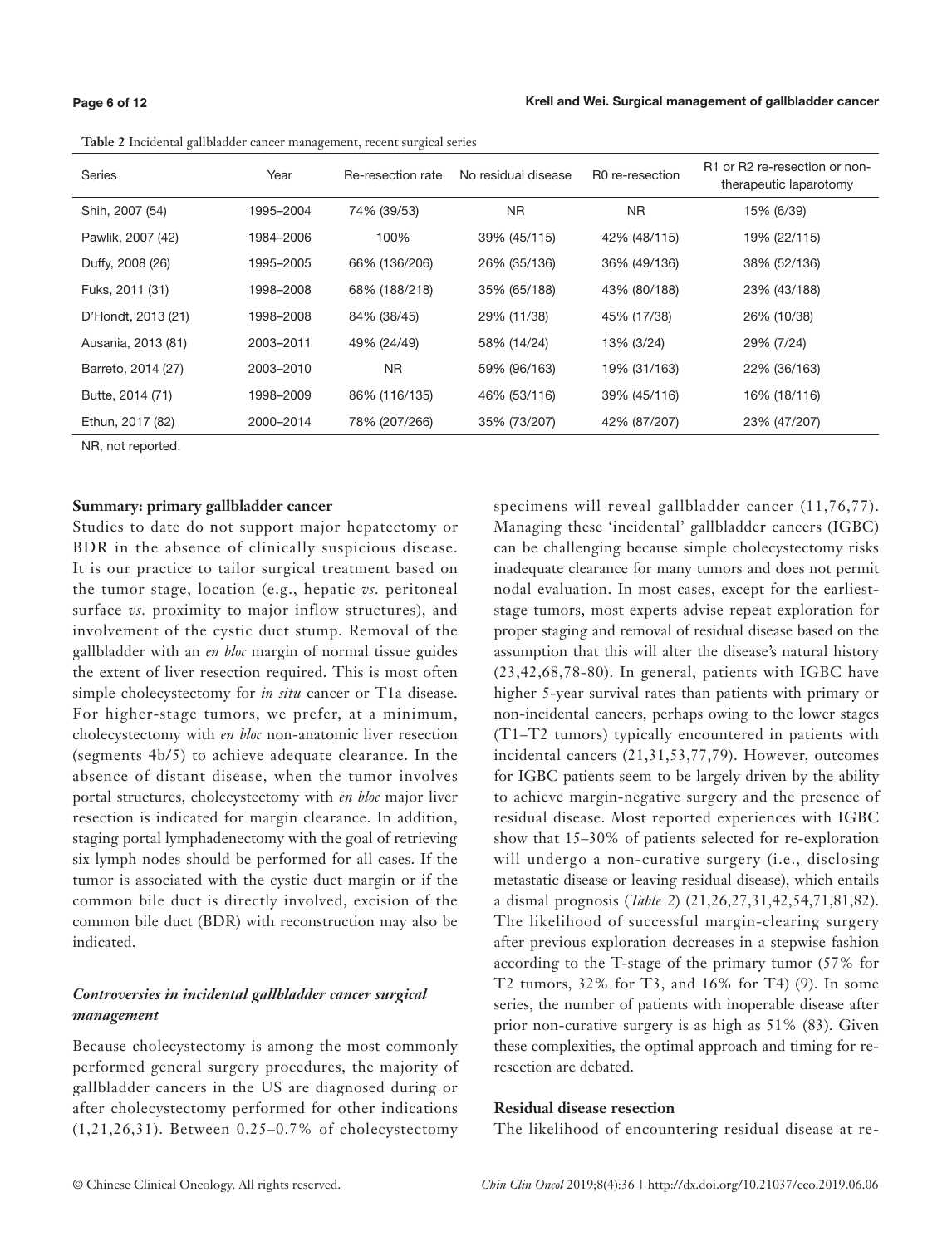#### **Page 6 of 12**

#### Krell and Wei. Surgical management of gallbladder cancer

| Series             | Year      | Re-resection rate | No residual disease | R0 re-resection | R1 or R2 re-resection or non-<br>therapeutic laparotomy |
|--------------------|-----------|-------------------|---------------------|-----------------|---------------------------------------------------------|
| Shih, 2007 (54)    | 1995-2004 | 74% (39/53)       | <b>NR</b>           | NR.             | 15% (6/39)                                              |
| Pawlik, 2007 (42)  | 1984–2006 | 100%              | 39% (45/115)        | 42% (48/115)    | 19% (22/115)                                            |
| Duffy, 2008 (26)   | 1995–2005 | 66% (136/206)     | 26% (35/136)        | 36% (49/136)    | 38% (52/136)                                            |
| Fuks, 2011 (31)    | 1998–2008 | 68% (188/218)     | 35% (65/188)        | 43% (80/188)    | 23% (43/188)                                            |
| D'Hondt, 2013 (21) | 1998-2008 | 84% (38/45)       | 29% (11/38)         | 45% (17/38)     | 26% (10/38)                                             |
| Ausania, 2013 (81) | 2003-2011 | 49% (24/49)       | 58% (14/24)         | 13% (3/24)      | 29% (7/24)                                              |
| Barreto, 2014 (27) | 2003-2010 | N <sub>R</sub>    | 59% (96/163)        | 19% (31/163)    | 22% (36/163)                                            |
| Butte, 2014 (71)   | 1998–2009 | 86% (116/135)     | 46% (53/116)        | 39% (45/116)    | 16% (18/116)                                            |
| Ethun, 2017 (82)   | 2000-2014 | 78% (207/266)     | 35% (73/207)        | 42% (87/207)    | 23% (47/207)                                            |

**Table 2** Incidental gallbladder cancer management, recent surgical series

NR, not reported.

#### **Summary: primary gallbladder cancer**

Studies to date do not support major hepatectomy or BDR in the absence of clinically suspicious disease. It is our practice to tailor surgical treatment based on the tumor stage, location (e.g., hepatic *vs.* peritoneal surface *vs.* proximity to major inflow structures), and involvement of the cystic duct stump. Removal of the gallbladder with an *en bloc* margin of normal tissue guides the extent of liver resection required. This is most often simple cholecystectomy for *in situ* cancer or T1a disease. For higher-stage tumors, we prefer, at a minimum, cholecystectomy with *en bloc* non-anatomic liver resection (segments 4b/5) to achieve adequate clearance. In the absence of distant disease, when the tumor involves portal structures, cholecystectomy with *en bloc* major liver resection is indicated for margin clearance. In addition, staging portal lymphadenectomy with the goal of retrieving six lymph nodes should be performed for all cases. If the tumor is associated with the cystic duct margin or if the common bile duct is directly involved, excision of the common bile duct (BDR) with reconstruction may also be indicated.

# *Controversies in incidental gallbladder cancer surgical management*

Because cholecystectomy is among the most commonly performed general surgery procedures, the majority of gallbladder cancers in the US are diagnosed during or after cholecystectomy performed for other indications (1,21,26,31). Between 0.25–0.7% of cholecystectomy specimens will reveal gallbladder cancer (11,76,77). Managing these 'incidental' gallbladder cancers (IGBC) can be challenging because simple cholecystectomy risks inadequate clearance for many tumors and does not permit nodal evaluation. In most cases, except for the earlieststage tumors, most experts advise repeat exploration for proper staging and removal of residual disease based on the assumption that this will alter the disease's natural history (23,42,68,78-80). In general, patients with IGBC have higher 5-year survival rates than patients with primary or non-incidental cancers, perhaps owing to the lower stages (T1–T2 tumors) typically encountered in patients with incidental cancers (21,31,53,77,79). However, outcomes for IGBC patients seem to be largely driven by the ability to achieve margin-negative surgery and the presence of residual disease. Most reported experiences with IGBC show that 15–30% of patients selected for re-exploration will undergo a non-curative surgery (i.e., disclosing metastatic disease or leaving residual disease), which entails a dismal prognosis (*Table 2*) (21,26,27,31,42,54,71,81,82). The likelihood of successful margin-clearing surgery after previous exploration decreases in a stepwise fashion according to the T-stage of the primary tumor (57% for T2 tumors, 32% for T3, and 16% for T4) (9). In some series, the number of patients with inoperable disease after prior non-curative surgery is as high as 51% (83). Given these complexities, the optimal approach and timing for reresection are debated.

### **Residual disease resection**

The likelihood of encountering residual disease at re-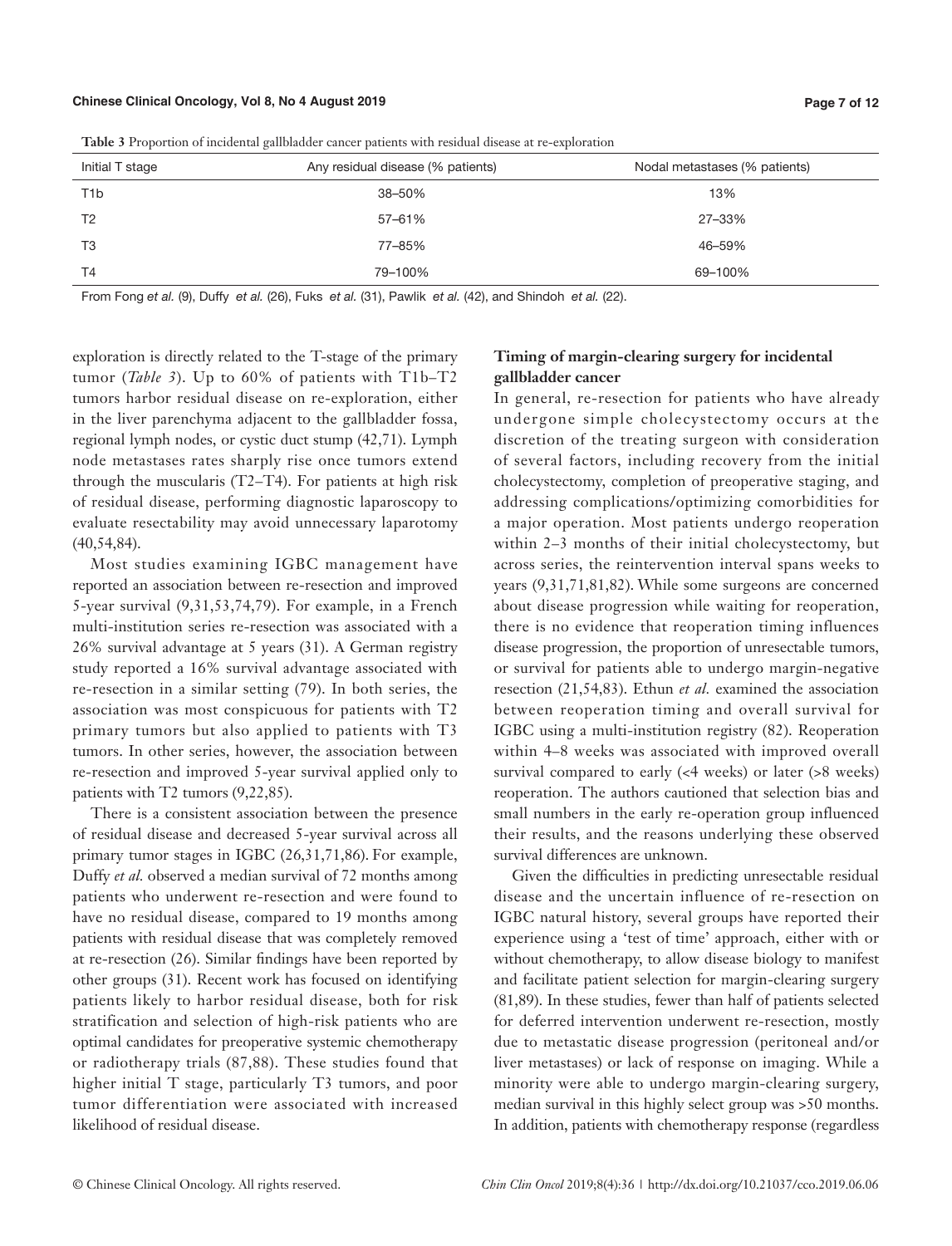| Initial T stage  | Any residual disease (% patients) | Nodal metastases (% patients) |
|------------------|-----------------------------------|-------------------------------|
| T <sub>1</sub> b | 38-50%                            | 13%                           |
| T <sub>2</sub>   | 57-61%                            | 27-33%                        |
| T <sub>3</sub>   | 77-85%                            | 46-59%                        |
| T <sub>4</sub>   | 79-100%                           | 69-100%                       |

**Table 3** Proportion of incidental gallbladder cancer patients with residual disease at re-exploration

From Fong et al. (9), Duffy et al. (26), Fuks et al. (31), Pawlik et al. (42), and Shindoh et al. (22).

exploration is directly related to the T-stage of the primary tumor (*Table 3*). Up to 60% of patients with T1b–T2 tumors harbor residual disease on re-exploration, either in the liver parenchyma adjacent to the gallbladder fossa, regional lymph nodes, or cystic duct stump (42,71). Lymph node metastases rates sharply rise once tumors extend through the muscularis (T2–T4). For patients at high risk of residual disease, performing diagnostic laparoscopy to evaluate resectability may avoid unnecessary laparotomy (40,54,84).

Most studies examining IGBC management have reported an association between re-resection and improved 5-year survival (9,31,53,74,79). For example, in a French multi-institution series re-resection was associated with a 26% survival advantage at 5 years (31). A German registry study reported a 16% survival advantage associated with re-resection in a similar setting (79). In both series, the association was most conspicuous for patients with T2 primary tumors but also applied to patients with T3 tumors. In other series, however, the association between re-resection and improved 5-year survival applied only to patients with T2 tumors (9,22,85).

There is a consistent association between the presence of residual disease and decreased 5-year survival across all primary tumor stages in IGBC (26,31,71,86). For example, Duffy *et al.* observed a median survival of 72 months among patients who underwent re-resection and were found to have no residual disease, compared to 19 months among patients with residual disease that was completely removed at re-resection (26). Similar findings have been reported by other groups (31). Recent work has focused on identifying patients likely to harbor residual disease, both for risk stratification and selection of high-risk patients who are optimal candidates for preoperative systemic chemotherapy or radiotherapy trials (87,88). These studies found that higher initial T stage, particularly T3 tumors, and poor tumor differentiation were associated with increased likelihood of residual disease.

## **Timing of margin-clearing surgery for incidental gallbladder cancer**

In general, re-resection for patients who have already undergone simple cholecystectomy occurs at the discretion of the treating surgeon with consideration of several factors, including recovery from the initial cholecystectomy, completion of preoperative staging, and addressing complications/optimizing comorbidities for a major operation. Most patients undergo reoperation within 2–3 months of their initial cholecystectomy, but across series, the reintervention interval spans weeks to years (9,31,71,81,82). While some surgeons are concerned about disease progression while waiting for reoperation, there is no evidence that reoperation timing influences disease progression, the proportion of unresectable tumors, or survival for patients able to undergo margin-negative resection (21,54,83). Ethun *et al.* examined the association between reoperation timing and overall survival for IGBC using a multi-institution registry (82). Reoperation within 4–8 weeks was associated with improved overall survival compared to early (<4 weeks) or later (>8 weeks) reoperation. The authors cautioned that selection bias and small numbers in the early re-operation group influenced their results, and the reasons underlying these observed survival differences are unknown.

Given the difficulties in predicting unresectable residual disease and the uncertain influence of re-resection on IGBC natural history, several groups have reported their experience using a 'test of time' approach, either with or without chemotherapy, to allow disease biology to manifest and facilitate patient selection for margin-clearing surgery (81,89). In these studies, fewer than half of patients selected for deferred intervention underwent re-resection, mostly due to metastatic disease progression (peritoneal and/or liver metastases) or lack of response on imaging. While a minority were able to undergo margin-clearing surgery, median survival in this highly select group was >50 months. In addition, patients with chemotherapy response (regardless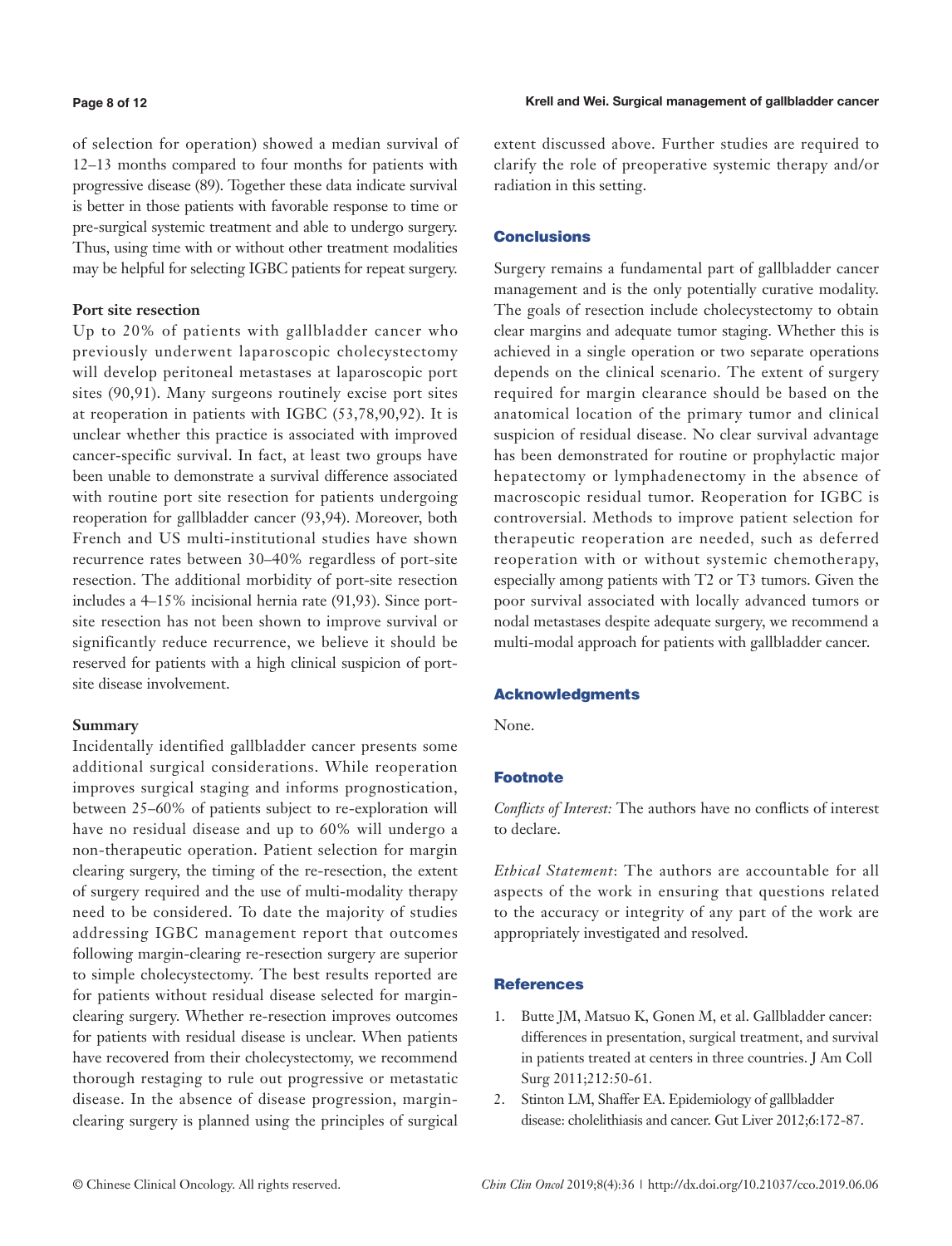#### **Page 8 of 12**

of selection for operation) showed a median survival of 12–13 months compared to four months for patients with progressive disease (89). Together these data indicate survival is better in those patients with favorable response to time or pre-surgical systemic treatment and able to undergo surgery. Thus, using time with or without other treatment modalities may be helpful for selecting IGBC patients for repeat surgery.

### **Port site resection**

Up to 20% of patients with gallbladder cancer who previously underwent laparoscopic cholecystectomy will develop peritoneal metastases at laparoscopic port sites (90,91). Many surgeons routinely excise port sites at reoperation in patients with IGBC (53,78,90,92). It is unclear whether this practice is associated with improved cancer-specific survival. In fact, at least two groups have been unable to demonstrate a survival difference associated with routine port site resection for patients undergoing reoperation for gallbladder cancer (93,94). Moreover, both French and US multi-institutional studies have shown recurrence rates between 30–40% regardless of port-site resection. The additional morbidity of port-site resection includes a 4–15% incisional hernia rate (91,93). Since portsite resection has not been shown to improve survival or significantly reduce recurrence, we believe it should be reserved for patients with a high clinical suspicion of portsite disease involvement.

### **Summary**

Incidentally identified gallbladder cancer presents some additional surgical considerations. While reoperation improves surgical staging and informs prognostication, between 25–60% of patients subject to re-exploration will have no residual disease and up to 60% will undergo a non-therapeutic operation. Patient selection for margin clearing surgery, the timing of the re-resection, the extent of surgery required and the use of multi-modality therapy need to be considered. To date the majority of studies addressing IGBC management report that outcomes following margin-clearing re-resection surgery are superior to simple cholecystectomy. The best results reported are for patients without residual disease selected for marginclearing surgery. Whether re-resection improves outcomes for patients with residual disease is unclear. When patients have recovered from their cholecystectomy, we recommend thorough restaging to rule out progressive or metastatic disease. In the absence of disease progression, marginclearing surgery is planned using the principles of surgical extent discussed above. Further studies are required to clarify the role of preoperative systemic therapy and/or radiation in this setting.

### Conclusions

Surgery remains a fundamental part of gallbladder cancer management and is the only potentially curative modality. The goals of resection include cholecystectomy to obtain clear margins and adequate tumor staging. Whether this is achieved in a single operation or two separate operations depends on the clinical scenario. The extent of surgery required for margin clearance should be based on the anatomical location of the primary tumor and clinical suspicion of residual disease. No clear survival advantage has been demonstrated for routine or prophylactic major hepatectomy or lymphadenectomy in the absence of macroscopic residual tumor. Reoperation for IGBC is controversial. Methods to improve patient selection for therapeutic reoperation are needed, such as deferred reoperation with or without systemic chemotherapy, especially among patients with T2 or T3 tumors. Given the poor survival associated with locally advanced tumors or nodal metastases despite adequate surgery, we recommend a multi-modal approach for patients with gallbladder cancer.

### Acknowledgments

None.

### **Footnote**

*Conflicts of Interest:* The authors have no conflicts of interest to declare.

*Ethical Statement*: The authors are accountable for all aspects of the work in ensuring that questions related to the accuracy or integrity of any part of the work are appropriately investigated and resolved.

### **References**

- 1. Butte JM, Matsuo K, Gonen M, et al. Gallbladder cancer: differences in presentation, surgical treatment, and survival in patients treated at centers in three countries. J Am Coll Surg 2011;212:50-61.
- 2. Stinton LM, Shaffer EA. Epidemiology of gallbladder disease: cholelithiasis and cancer. Gut Liver 2012;6:172-87.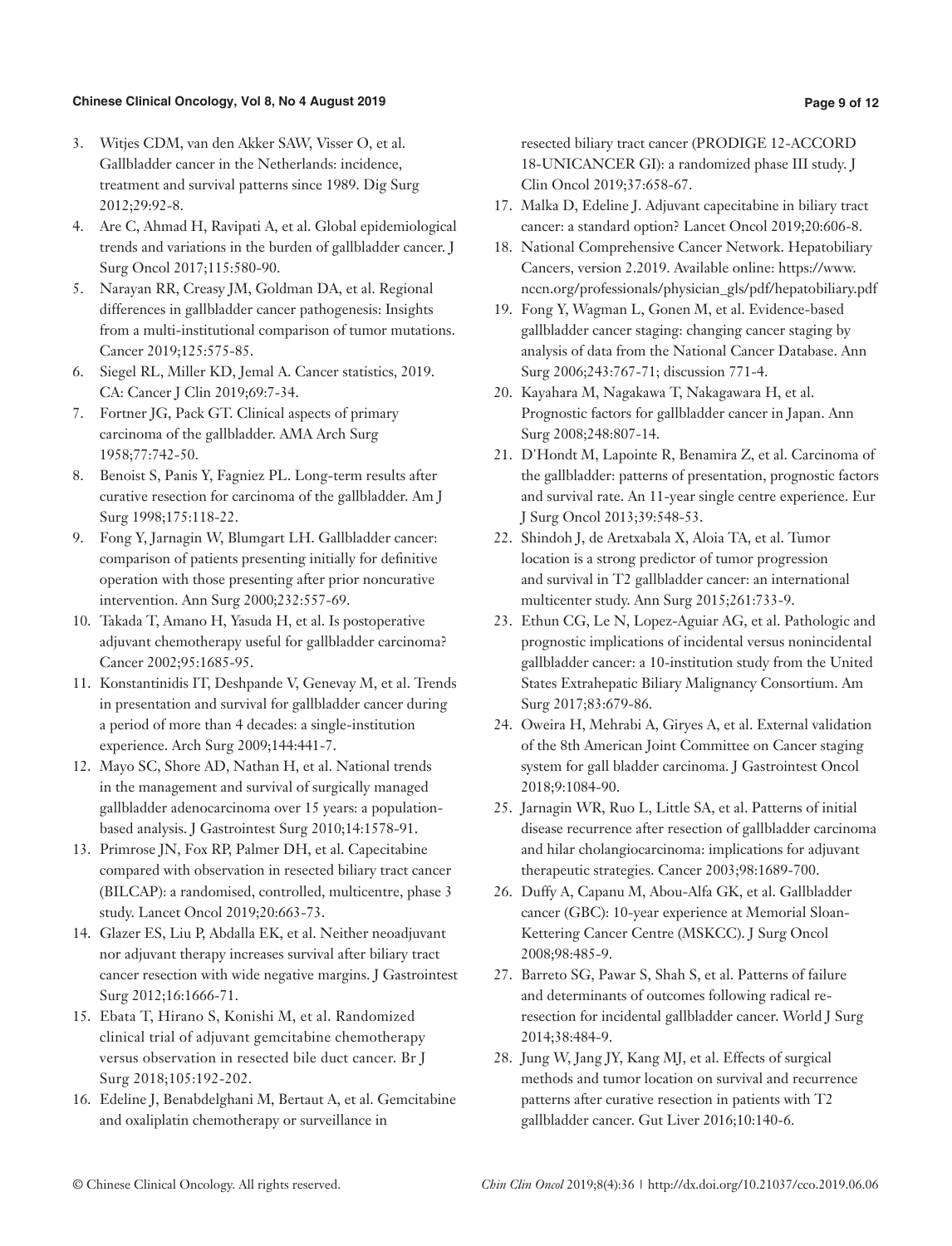- 3. Witjes CDM, van den Akker SAW, Visser O, et al. Gallbladder cancer in the Netherlands: incidence, treatment and survival patterns since 1989. Dig Surg 2012;29:92-8.
- 4. Are C, Ahmad H, Ravipati A, et al. Global epidemiological trends and variations in the burden of gallbladder cancer. J Surg Oncol 2017;115:580-90.
- 5. Narayan RR, Creasy JM, Goldman DA, et al. Regional differences in gallbladder cancer pathogenesis: Insights from a multi-institutional comparison of tumor mutations. Cancer 2019;125:575-85.
- 6. Siegel RL, Miller KD, Jemal A. Cancer statistics, 2019. CA: Cancer J Clin 2019;69:7-34.
- 7. Fortner JG, Pack GT. Clinical aspects of primary carcinoma of the gallbladder. AMA Arch Surg 1958;77:742-50.
- 8. Benoist S, Panis Y, Fagniez PL. Long-term results after curative resection for carcinoma of the gallbladder. Am J Surg 1998;175:118-22.
- 9. Fong Y, Jarnagin W, Blumgart LH. Gallbladder cancer: comparison of patients presenting initially for definitive operation with those presenting after prior noncurative intervention. Ann Surg 2000;232:557-69.
- 10. Takada T, Amano H, Yasuda H, et al. Is postoperative adjuvant chemotherapy useful for gallbladder carcinoma? Cancer 2002;95:1685-95.
- 11. Konstantinidis IT, Deshpande V, Genevay M, et al. Trends in presentation and survival for gallbladder cancer during a period of more than 4 decades: a single-institution experience. Arch Surg 2009;144:441-7.
- 12. Mayo SC, Shore AD, Nathan H, et al. National trends in the management and survival of surgically managed gallbladder adenocarcinoma over 15 years: a populationbased analysis. J Gastrointest Surg 2010;14:1578-91.
- 13. Primrose JN, Fox RP, Palmer DH, et al. Capecitabine compared with observation in resected biliary tract cancer (BILCAP): a randomised, controlled, multicentre, phase 3 study. Lancet Oncol 2019;20:663-73.
- 14. Glazer ES, Liu P, Abdalla EK, et al. Neither neoadjuvant nor adjuvant therapy increases survival after biliary tract cancer resection with wide negative margins. J Gastrointest Surg 2012;16:1666-71.
- 15. Ebata T, Hirano S, Konishi M, et al. Randomized clinical trial of adjuvant gemcitabine chemotherapy versus observation in resected bile duct cancer. Br J Surg 2018;105:192-202.
- 16. Edeline J, Benabdelghani M, Bertaut A, et al. Gemcitabine and oxaliplatin chemotherapy or surveillance in

resected biliary tract cancer (PRODIGE 12-ACCORD 18-UNICANCER GI): a randomized phase III study. J Clin Oncol 2019;37:658-67.

- 17. Malka D, Edeline J. Adjuvant capecitabine in biliary tract cancer: a standard option? Lancet Oncol 2019;20:606-8.
- 18. National Comprehensive Cancer Network. Hepatobiliary Cancers, version 2.2019. Available online: https://www. nccn.org/professionals/physician\_gls/pdf/hepatobiliary.pdf
- 19. Fong Y, Wagman L, Gonen M, et al. Evidence-based gallbladder cancer staging: changing cancer staging by analysis of data from the National Cancer Database. Ann Surg 2006;243:767-71; discussion 771-4.
- 20. Kayahara M, Nagakawa T, Nakagawara H, et al. Prognostic factors for gallbladder cancer in Japan. Ann Surg 2008;248:807-14.
- 21. D'Hondt M, Lapointe R, Benamira Z, et al. Carcinoma of the gallbladder: patterns of presentation, prognostic factors and survival rate. An 11-year single centre experience. Eur J Surg Oncol 2013;39:548-53.
- 22. Shindoh J, de Aretxabala X, Aloia TA, et al. Tumor location is a strong predictor of tumor progression and survival in T2 gallbladder cancer: an international multicenter study. Ann Surg 2015;261:733-9.
- 23. Ethun CG, Le N, Lopez-Aguiar AG, et al. Pathologic and prognostic implications of incidental versus nonincidental gallbladder cancer: a 10-institution study from the United States Extrahepatic Biliary Malignancy Consortium. Am Surg 2017;83:679-86.
- 24. Oweira H, Mehrabi A, Giryes A, et al. External validation of the 8th American Joint Committee on Cancer staging system for gall bladder carcinoma. J Gastrointest Oncol 2018;9:1084-90.
- 25. Jarnagin WR, Ruo L, Little SA, et al. Patterns of initial disease recurrence after resection of gallbladder carcinoma and hilar cholangiocarcinoma: implications for adjuvant therapeutic strategies. Cancer 2003;98:1689-700.
- 26. Duffy A, Capanu M, Abou-Alfa GK, et al. Gallbladder cancer (GBC): 10-year experience at Memorial Sloan-Kettering Cancer Centre (MSKCC). J Surg Oncol 2008;98:485-9.
- 27. Barreto SG, Pawar S, Shah S, et al. Patterns of failure and determinants of outcomes following radical reresection for incidental gallbladder cancer. World J Surg 2014;38:484-9.
- 28. Jung W, Jang JY, Kang MJ, et al. Effects of surgical methods and tumor location on survival and recurrence patterns after curative resection in patients with T2 gallbladder cancer. Gut Liver 2016;10:140-6.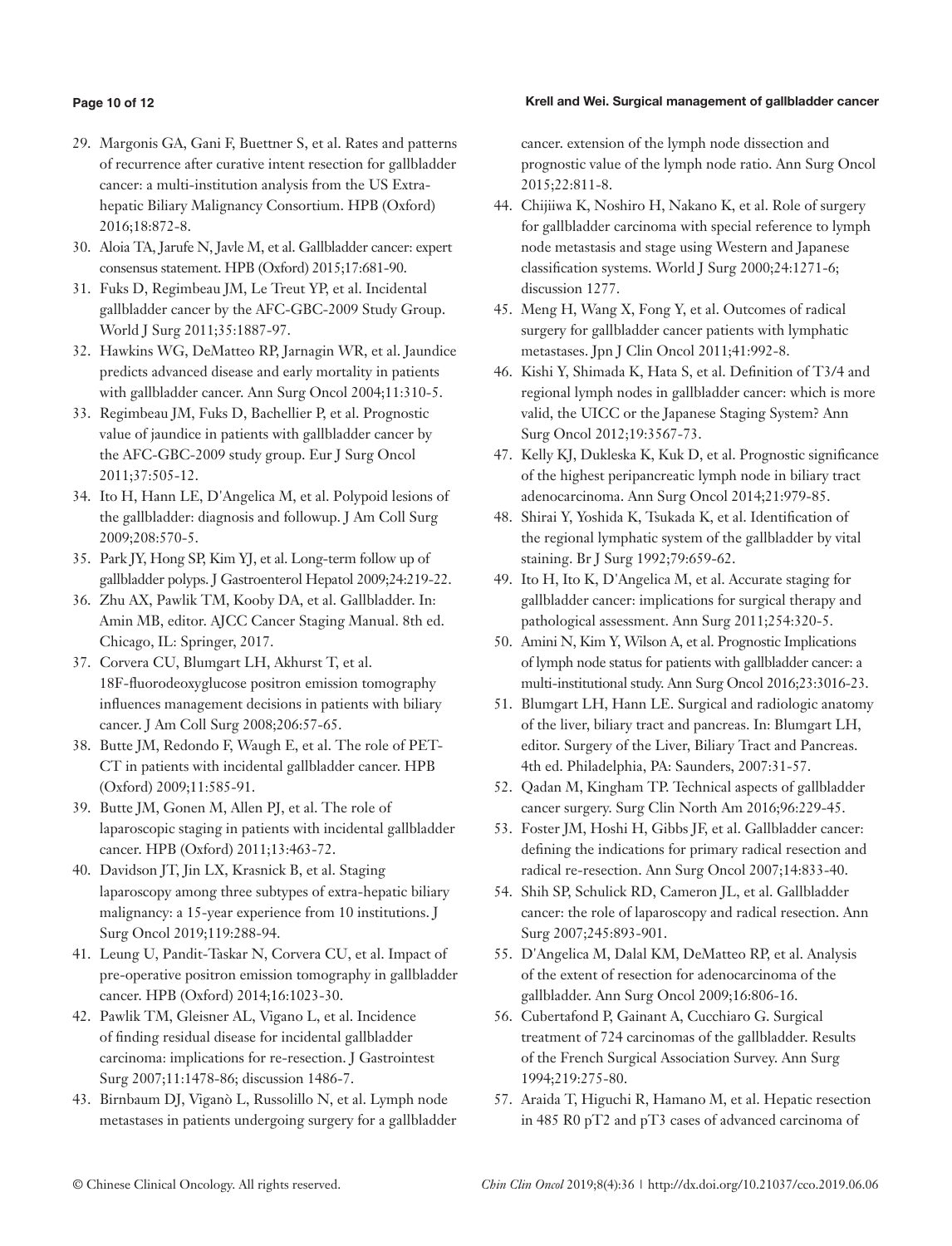### Krell and Wei. Surgical management of gallbladder cancer

### **Page 10 of 12**

- 29. Margonis GA, Gani F, Buettner S, et al. Rates and patterns of recurrence after curative intent resection for gallbladder cancer: a multi-institution analysis from the US Extrahepatic Biliary Malignancy Consortium. HPB (Oxford) 2016;18:872-8.
- 30. Aloia TA, Jarufe N, Javle M, et al. Gallbladder cancer: expert consensus statement. HPB (Oxford) 2015;17:681-90.
- 31. Fuks D, Regimbeau JM, Le Treut YP, et al. Incidental gallbladder cancer by the AFC-GBC-2009 Study Group. World J Surg 2011;35:1887-97.
- 32. Hawkins WG, DeMatteo RP, Jarnagin WR, et al. Jaundice predicts advanced disease and early mortality in patients with gallbladder cancer. Ann Surg Oncol 2004;11:310-5.
- 33. Regimbeau JM, Fuks D, Bachellier P, et al. Prognostic value of jaundice in patients with gallbladder cancer by the AFC-GBC-2009 study group. Eur J Surg Oncol 2011;37:505-12.
- 34. Ito H, Hann LE, D'Angelica M, et al. Polypoid lesions of the gallbladder: diagnosis and followup. J Am Coll Surg 2009;208:570-5.
- 35. Park JY, Hong SP, Kim YJ, et al. Long-term follow up of gallbladder polyps. J Gastroenterol Hepatol 2009;24:219-22.
- 36. Zhu AX, Pawlik TM, Kooby DA, et al. Gallbladder. In: Amin MB, editor. AJCC Cancer Staging Manual. 8th ed. Chicago, IL: Springer, 2017.
- 37. Corvera CU, Blumgart LH, Akhurst T, et al. 18F-fluorodeoxyglucose positron emission tomography influences management decisions in patients with biliary cancer. J Am Coll Surg 2008;206:57-65.
- 38. Butte JM, Redondo F, Waugh E, et al. The role of PET-CT in patients with incidental gallbladder cancer. HPB (Oxford) 2009;11:585-91.
- 39. Butte JM, Gonen M, Allen PJ, et al. The role of laparoscopic staging in patients with incidental gallbladder cancer. HPB (Oxford) 2011;13:463-72.
- 40. Davidson JT, Jin LX, Krasnick B, et al. Staging laparoscopy among three subtypes of extra-hepatic biliary malignancy: a 15-year experience from 10 institutions. J Surg Oncol 2019;119:288-94.
- 41. Leung U, Pandit-Taskar N, Corvera CU, et al. Impact of pre-operative positron emission tomography in gallbladder cancer. HPB (Oxford) 2014;16:1023-30.
- 42. Pawlik TM, Gleisner AL, Vigano L, et al. Incidence of finding residual disease for incidental gallbladder carcinoma: implications for re-resection. J Gastrointest Surg 2007;11:1478-86; discussion 1486-7.
- 43. Birnbaum DJ, Viganò L, Russolillo N, et al. Lymph node metastases in patients undergoing surgery for a gallbladder

cancer. extension of the lymph node dissection and prognostic value of the lymph node ratio. Ann Surg Oncol 2015;22:811-8.

- 44. Chijiiwa K, Noshiro H, Nakano K, et al. Role of surgery for gallbladder carcinoma with special reference to lymph node metastasis and stage using Western and Japanese classification systems. World J Surg 2000;24:1271-6; discussion 1277.
- 45. Meng H, Wang X, Fong Y, et al. Outcomes of radical surgery for gallbladder cancer patients with lymphatic metastases. Jpn J Clin Oncol 2011;41:992-8.
- 46. Kishi Y, Shimada K, Hata S, et al. Definition of T3/4 and regional lymph nodes in gallbladder cancer: which is more valid, the UICC or the Japanese Staging System? Ann Surg Oncol 2012;19:3567-73.
- 47. Kelly KJ, Dukleska K, Kuk D, et al. Prognostic significance of the highest peripancreatic lymph node in biliary tract adenocarcinoma. Ann Surg Oncol 2014;21:979-85.
- 48. Shirai Y, Yoshida K, Tsukada K, et al. Identification of the regional lymphatic system of the gallbladder by vital staining. Br J Surg 1992;79:659-62.
- 49. Ito H, Ito K, D'Angelica M, et al. Accurate staging for gallbladder cancer: implications for surgical therapy and pathological assessment. Ann Surg 2011;254:320-5.
- 50. Amini N, Kim Y, Wilson A, et al. Prognostic Implications of lymph node status for patients with gallbladder cancer: a multi-institutional study. Ann Surg Oncol 2016;23:3016-23.
- 51. Blumgart LH, Hann LE. Surgical and radiologic anatomy of the liver, biliary tract and pancreas. In: Blumgart LH, editor. Surgery of the Liver, Biliary Tract and Pancreas. 4th ed. Philadelphia, PA: Saunders, 2007:31-57.
- 52. Qadan M, Kingham TP. Technical aspects of gallbladder cancer surgery. Surg Clin North Am 2016;96:229-45.
- 53. Foster JM, Hoshi H, Gibbs JF, et al. Gallbladder cancer: defining the indications for primary radical resection and radical re-resection. Ann Surg Oncol 2007;14:833-40.
- 54. Shih SP, Schulick RD, Cameron JL, et al. Gallbladder cancer: the role of laparoscopy and radical resection. Ann Surg 2007;245:893-901.
- 55. D'Angelica M, Dalal KM, DeMatteo RP, et al. Analysis of the extent of resection for adenocarcinoma of the gallbladder. Ann Surg Oncol 2009;16:806-16.
- 56. Cubertafond P, Gainant A, Cucchiaro G. Surgical treatment of 724 carcinomas of the gallbladder. Results of the French Surgical Association Survey. Ann Surg 1994;219:275-80.
- 57. Araida T, Higuchi R, Hamano M, et al. Hepatic resection in 485 R0 pT2 and pT3 cases of advanced carcinoma of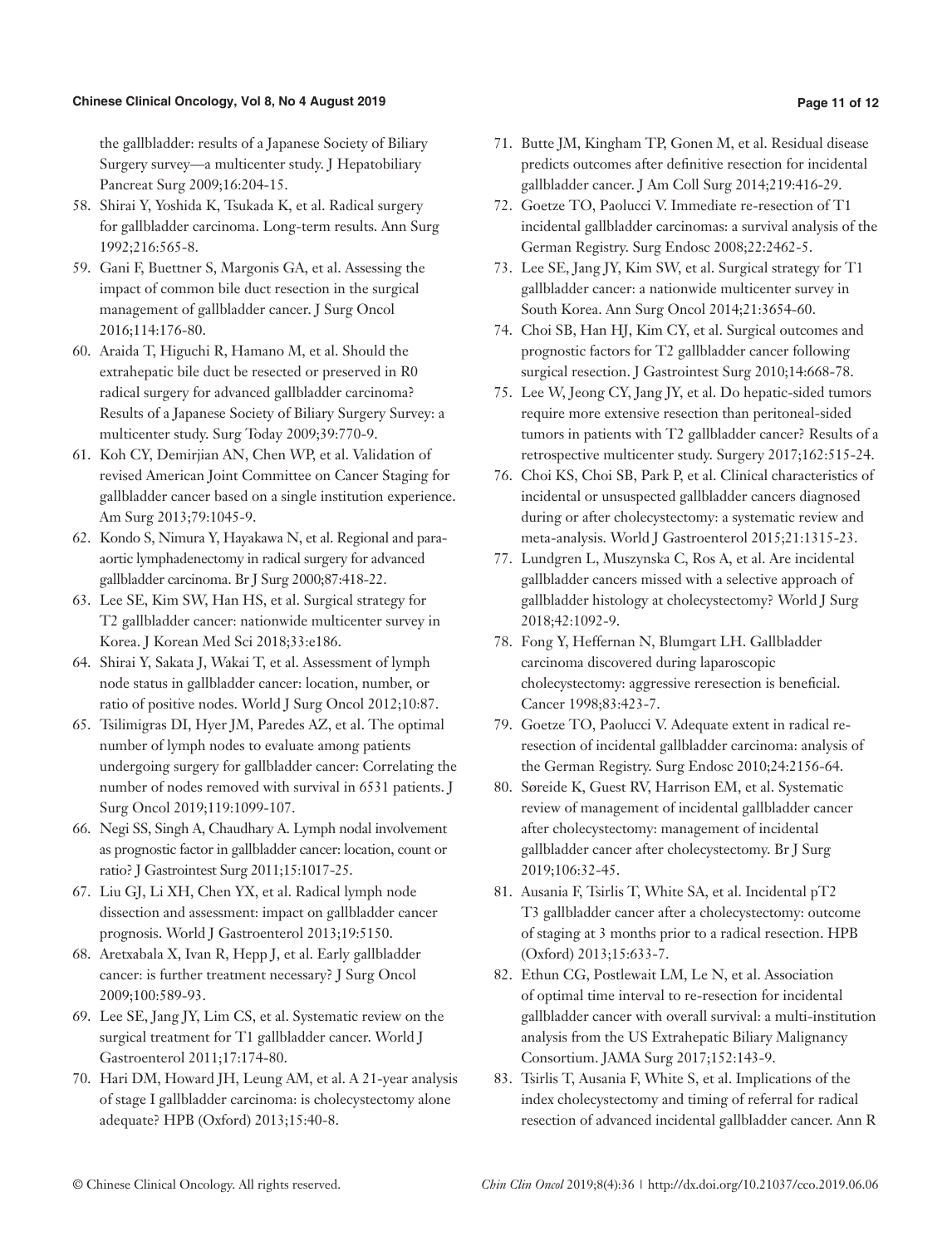### **Page 11 of 12**

the gallbladder: results of a Japanese Society of Biliary Surgery survey—a multicenter study. J Hepatobiliary Pancreat Surg 2009;16:204-15.

- 58. Shirai Y, Yoshida K, Tsukada K, et al. Radical surgery for gallbladder carcinoma. Long-term results. Ann Surg 1992;216:565-8.
- 59. Gani F, Buettner S, Margonis GA, et al. Assessing the impact of common bile duct resection in the surgical management of gallbladder cancer. J Surg Oncol 2016;114:176-80.
- 60. Araida T, Higuchi R, Hamano M, et al. Should the extrahepatic bile duct be resected or preserved in R0 radical surgery for advanced gallbladder carcinoma? Results of a Japanese Society of Biliary Surgery Survey: a multicenter study. Surg Today 2009;39:770-9.
- 61. Koh CY, Demirjian AN, Chen WP, et al. Validation of revised American Joint Committee on Cancer Staging for gallbladder cancer based on a single institution experience. Am Surg 2013;79:1045-9.
- 62. Kondo S, Nimura Y, Hayakawa N, et al. Regional and paraaortic lymphadenectomy in radical surgery for advanced gallbladder carcinoma. Br J Surg 2000;87:418-22.
- 63. Lee SE, Kim SW, Han HS, et al. Surgical strategy for T2 gallbladder cancer: nationwide multicenter survey in Korea. J Korean Med Sci 2018;33:e186.
- 64. Shirai Y, Sakata J, Wakai T, et al. Assessment of lymph node status in gallbladder cancer: location, number, or ratio of positive nodes. World J Surg Oncol 2012;10:87.
- 65. Tsilimigras DI, Hyer JM, Paredes AZ, et al. The optimal number of lymph nodes to evaluate among patients undergoing surgery for gallbladder cancer: Correlating the number of nodes removed with survival in 6531 patients. J Surg Oncol 2019;119:1099-107.
- 66. Negi SS, Singh A, Chaudhary A. Lymph nodal involvement as prognostic factor in gallbladder cancer: location, count or ratio? J Gastrointest Surg 2011;15:1017-25.
- 67. Liu GJ, Li XH, Chen YX, et al. Radical lymph node dissection and assessment: impact on gallbladder cancer prognosis. World J Gastroenterol 2013;19:5150.
- 68. Aretxabala X, Ivan R, Hepp J, et al. Early gallbladder cancer: is further treatment necessary? J Surg Oncol 2009;100:589-93.
- 69. Lee SE, Jang JY, Lim CS, et al. Systematic review on the surgical treatment for T1 gallbladder cancer. World J Gastroenterol 2011;17:174-80.
- 70. Hari DM, Howard JH, Leung AM, et al. A 21-year analysis of stage I gallbladder carcinoma: is cholecystectomy alone adequate? HPB (Oxford) 2013;15:40-8.
- 71. Butte JM, Kingham TP, Gonen M, et al. Residual disease predicts outcomes after definitive resection for incidental gallbladder cancer. J Am Coll Surg 2014;219:416-29.
- 72. Goetze TO, Paolucci V. Immediate re-resection of T1 incidental gallbladder carcinomas: a survival analysis of the German Registry. Surg Endosc 2008;22:2462-5.
- 73. Lee SE, Jang JY, Kim SW, et al. Surgical strategy for T1 gallbladder cancer: a nationwide multicenter survey in South Korea. Ann Surg Oncol 2014;21:3654-60.
- 74. Choi SB, Han HJ, Kim CY, et al. Surgical outcomes and prognostic factors for T2 gallbladder cancer following surgical resection. J Gastrointest Surg 2010;14:668-78.
- 75. Lee W, Jeong CY, Jang JY, et al. Do hepatic-sided tumors require more extensive resection than peritoneal-sided tumors in patients with T2 gallbladder cancer? Results of a retrospective multicenter study. Surgery 2017;162:515-24.
- 76. Choi KS, Choi SB, Park P, et al. Clinical characteristics of incidental or unsuspected gallbladder cancers diagnosed during or after cholecystectomy: a systematic review and meta-analysis. World J Gastroenterol 2015;21:1315-23.
- 77. Lundgren L, Muszynska C, Ros A, et al. Are incidental gallbladder cancers missed with a selective approach of gallbladder histology at cholecystectomy? World J Surg 2018;42:1092-9.
- 78. Fong Y, Heffernan N, Blumgart LH. Gallbladder carcinoma discovered during laparoscopic cholecystectomy: aggressive reresection is beneficial. Cancer 1998;83:423-7.
- 79. Goetze TO, Paolucci V. Adequate extent in radical reresection of incidental gallbladder carcinoma: analysis of the German Registry. Surg Endosc 2010;24:2156-64.
- 80. Søreide K, Guest RV, Harrison EM, et al. Systematic review of management of incidental gallbladder cancer after cholecystectomy: management of incidental gallbladder cancer after cholecystectomy. Br J Surg 2019;106:32-45.
- 81. Ausania F, Tsirlis T, White SA, et al. Incidental pT2 T3 gallbladder cancer after a cholecystectomy: outcome of staging at 3 months prior to a radical resection. HPB (Oxford) 2013;15:633-7.
- 82. Ethun CG, Postlewait LM, Le N, et al. Association of optimal time interval to re-resection for incidental gallbladder cancer with overall survival: a multi-institution analysis from the US Extrahepatic Biliary Malignancy Consortium. JAMA Surg 2017;152:143-9.
- 83. Tsirlis T, Ausania F, White S, et al. Implications of the index cholecystectomy and timing of referral for radical resection of advanced incidental gallbladder cancer. Ann R